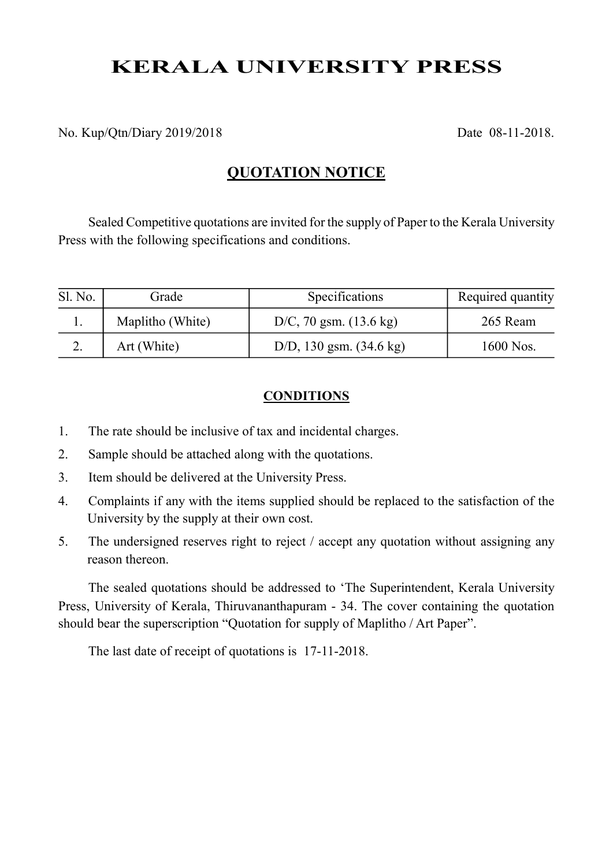# KERALA UNIVERSITY PRESS

No. Kup/Qtn/Diary 2019/2018 Date 08-11-2018.

### QUOTATION NOTICE

Sealed Competitive quotations are invited for the supply of Paper to the Kerala University Press with the following specifications and conditions.

| Sl. No. | Grade            | <b>Specifications</b>             | Required quantity |
|---------|------------------|-----------------------------------|-------------------|
|         | Maplitho (White) | D/C, 70 gsm. $(13.6 \text{ kg})$  | 265 Ream          |
|         | Art (White)      | D/D, 130 gsm. $(34.6 \text{ kg})$ | 1600 Nos.         |

#### **CONDITIONS**

- 1. The rate should be inclusive of tax and incidental charges.
- 2. Sample should be attached along with the quotations.
- 3. Item should be delivered at the University Press.
- 4. Complaints if any with the items supplied should be replaced to the satisfaction of the University by the supply at their own cost.
- 5. The undersigned reserves right to reject / accept any quotation without assigning any reason thereon.

The sealed quotations should be addressed to 'The Superintendent, Kerala University Press, University of Kerala, Thiruvananthapuram - 34. The cover containing the quotation should bear the superscription "Quotation for supply of Maplitho / Art Paper".

The last date of receipt of quotations is 17-11-2018.